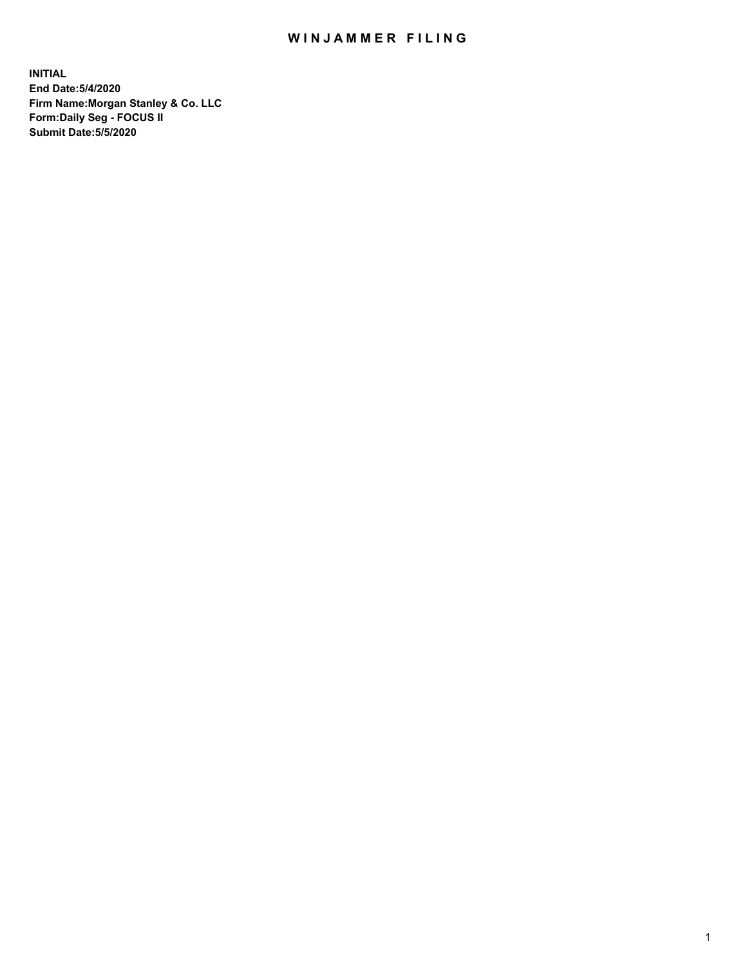## WIN JAMMER FILING

**INITIAL End Date:5/4/2020 Firm Name:Morgan Stanley & Co. LLC Form:Daily Seg - FOCUS II Submit Date:5/5/2020**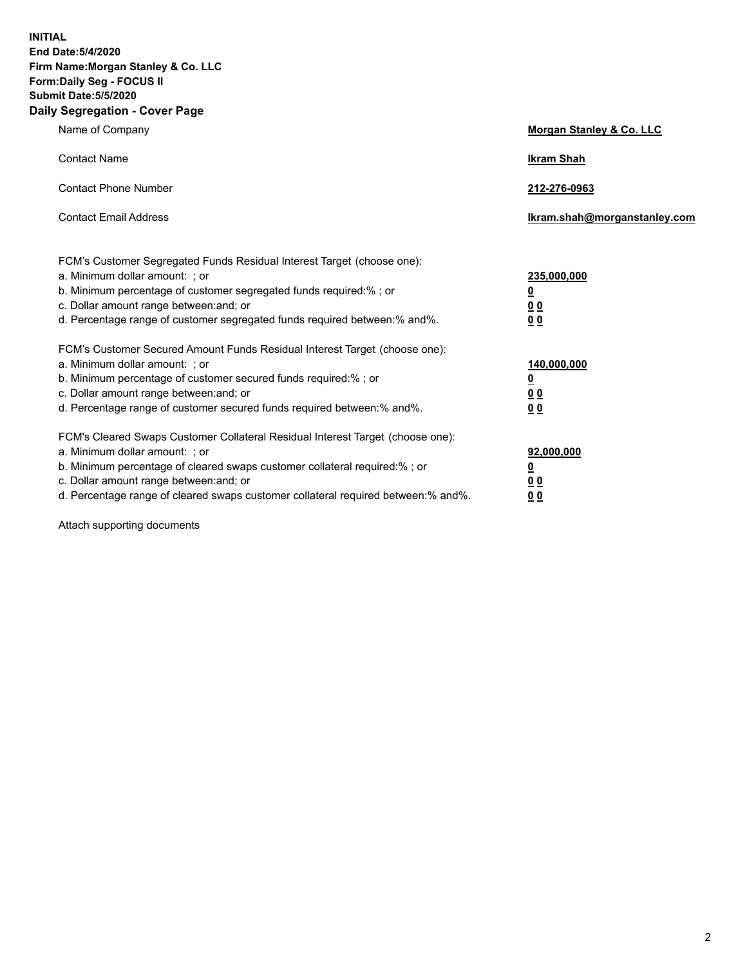**INITIAL End Date:5/4/2020 Firm Name:Morgan Stanley & Co. LLC Form:Daily Seg - FOCUS II Submit Date:5/5/2020 Daily Segregation - Cover Page**

| Name of Company                                                                                                                                                                                                                                                                                                                | <b>Morgan Stanley &amp; Co. LLC</b>                   |
|--------------------------------------------------------------------------------------------------------------------------------------------------------------------------------------------------------------------------------------------------------------------------------------------------------------------------------|-------------------------------------------------------|
| <b>Contact Name</b>                                                                                                                                                                                                                                                                                                            | <b>Ikram Shah</b>                                     |
| <b>Contact Phone Number</b>                                                                                                                                                                                                                                                                                                    | 212-276-0963                                          |
| <b>Contact Email Address</b>                                                                                                                                                                                                                                                                                                   | Ikram.shah@morganstanley.com                          |
| FCM's Customer Segregated Funds Residual Interest Target (choose one):<br>a. Minimum dollar amount: ; or<br>b. Minimum percentage of customer segregated funds required:% ; or<br>c. Dollar amount range between: and; or                                                                                                      | 235,000,000<br><u>0</u><br><u>00</u>                  |
| d. Percentage range of customer segregated funds required between:% and%.<br>FCM's Customer Secured Amount Funds Residual Interest Target (choose one):<br>a. Minimum dollar amount: ; or<br>b. Minimum percentage of customer secured funds required:%; or                                                                    | 0 Q<br>140,000,000<br><u>0</u>                        |
| c. Dollar amount range between: and; or<br>d. Percentage range of customer secured funds required between: % and %.                                                                                                                                                                                                            | <u>0 0</u><br>0 <sup>0</sup>                          |
| FCM's Cleared Swaps Customer Collateral Residual Interest Target (choose one):<br>a. Minimum dollar amount: ; or<br>b. Minimum percentage of cleared swaps customer collateral required:% ; or<br>c. Dollar amount range between: and; or<br>d. Percentage range of cleared swaps customer collateral required between:% and%. | 92,000,000<br><u>0</u><br><u>00</u><br>0 <sub>0</sub> |

Attach supporting documents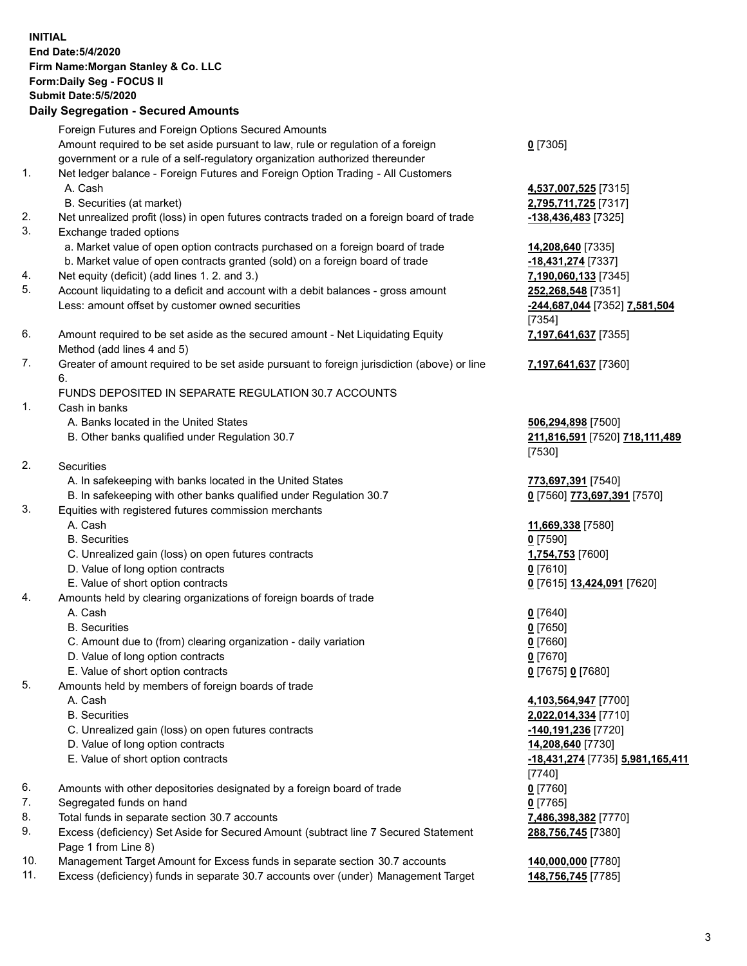| <b>INITIAL</b> | End Date: 5/4/2020<br>Firm Name: Morgan Stanley & Co. LLC                                   |                                                      |
|----------------|---------------------------------------------------------------------------------------------|------------------------------------------------------|
|                | Form: Daily Seg - FOCUS II                                                                  |                                                      |
|                | <b>Submit Date: 5/5/2020</b>                                                                |                                                      |
|                | <b>Daily Segregation - Secured Amounts</b>                                                  |                                                      |
|                | Foreign Futures and Foreign Options Secured Amounts                                         |                                                      |
|                | Amount required to be set aside pursuant to law, rule or regulation of a foreign            | $0$ [7305]                                           |
|                | government or a rule of a self-regulatory organization authorized thereunder                |                                                      |
| 1.             | Net ledger balance - Foreign Futures and Foreign Option Trading - All Customers             |                                                      |
|                | A. Cash                                                                                     | 4,537,007,525 [7315]                                 |
|                | B. Securities (at market)                                                                   | 2,795,711,725 [7317]                                 |
| 2.             | Net unrealized profit (loss) in open futures contracts traded on a foreign board of trade   | -138,436,483 [7325]                                  |
| 3.             | Exchange traded options                                                                     |                                                      |
|                | a. Market value of open option contracts purchased on a foreign board of trade              | 14,208,640 [7335]                                    |
|                | b. Market value of open contracts granted (sold) on a foreign board of trade                | -18,431,274 [7337]                                   |
| 4.             | Net equity (deficit) (add lines 1. 2. and 3.)                                               | 7,190,060,133 [7345]                                 |
| 5.             | Account liquidating to a deficit and account with a debit balances - gross amount           | 252,268,548 [7351]                                   |
|                | Less: amount offset by customer owned securities                                            | -244,687,044 [7352] 7,581,504                        |
|                |                                                                                             | $[7354]$                                             |
| 6.             | Amount required to be set aside as the secured amount - Net Liquidating Equity              | 7,197,641,637 [7355]                                 |
|                | Method (add lines 4 and 5)                                                                  |                                                      |
| 7.             | Greater of amount required to be set aside pursuant to foreign jurisdiction (above) or line | 7,197,641,637 [7360]                                 |
|                | 6.                                                                                          |                                                      |
|                | FUNDS DEPOSITED IN SEPARATE REGULATION 30.7 ACCOUNTS                                        |                                                      |
| 1.             | Cash in banks<br>A. Banks located in the United States                                      |                                                      |
|                | B. Other banks qualified under Regulation 30.7                                              | 506,294,898 [7500]<br>211,816,591 [7520] 718,111,489 |
|                |                                                                                             | [7530]                                               |
| 2.             | Securities                                                                                  |                                                      |
|                | A. In safekeeping with banks located in the United States                                   | 773,697,391 [7540]                                   |
|                | B. In safekeeping with other banks qualified under Regulation 30.7                          | 0 [7560] 773,697,391 [7570]                          |
| 3.             | Equities with registered futures commission merchants                                       |                                                      |
|                | A. Cash                                                                                     | 11,669,338 [7580]                                    |
|                | <b>B.</b> Securities                                                                        | $0$ [7590]                                           |
|                | C. Unrealized gain (loss) on open futures contracts                                         | 1,754,753 [7600]                                     |
|                | D. Value of long option contracts                                                           | 0 [7610]                                             |
|                | E. Value of short option contracts                                                          | 0 [7615] 13,424,091 [7620]                           |
| 4.             | Amounts held by clearing organizations of foreign boards of trade                           |                                                      |
|                | A. Cash                                                                                     | $0$ [7640]                                           |
|                | <b>B.</b> Securities                                                                        | $0$ [7650]                                           |
|                | C. Amount due to (from) clearing organization - daily variation                             | $0$ [7660]                                           |
|                | D. Value of long option contracts                                                           | $0$ [7670]                                           |
| 5.             | E. Value of short option contracts<br>Amounts held by members of foreign boards of trade    | 0 [7675] 0 [7680]                                    |
|                | A. Cash                                                                                     | 4,103,564,947 [7700]                                 |
|                | <b>B.</b> Securities                                                                        | 2,022,014,334 [7710]                                 |
|                | C. Unrealized gain (loss) on open futures contracts                                         | -140,191,236 [7720]                                  |
|                | D. Value of long option contracts                                                           | 14,208,640 [7730]                                    |
|                | E. Value of short option contracts                                                          | -18,431,274 [7735] 5,981,165,411                     |
|                |                                                                                             | [7740]                                               |
| 6.             | Amounts with other depositories designated by a foreign board of trade                      | $0$ [7760]                                           |
| 7.             | Segregated funds on hand                                                                    | $0$ [7765]                                           |
| 8.             | Total funds in separate section 30.7 accounts                                               | 7,486,398,382 [7770]                                 |
| 9.             | Excess (deficiency) Set Aside for Secured Amount (subtract line 7 Secured Statement         | 288,756,745 [7380]                                   |
|                | Page 1 from Line 8)                                                                         |                                                      |
| 10.            | Management Target Amount for Excess funds in separate section 30.7 accounts                 | 140,000,000 [7780]                                   |
| 11.            | Excess (deficiency) funds in separate 30.7 accounts over (under) Management Target          | 148,756,745 [7785]                                   |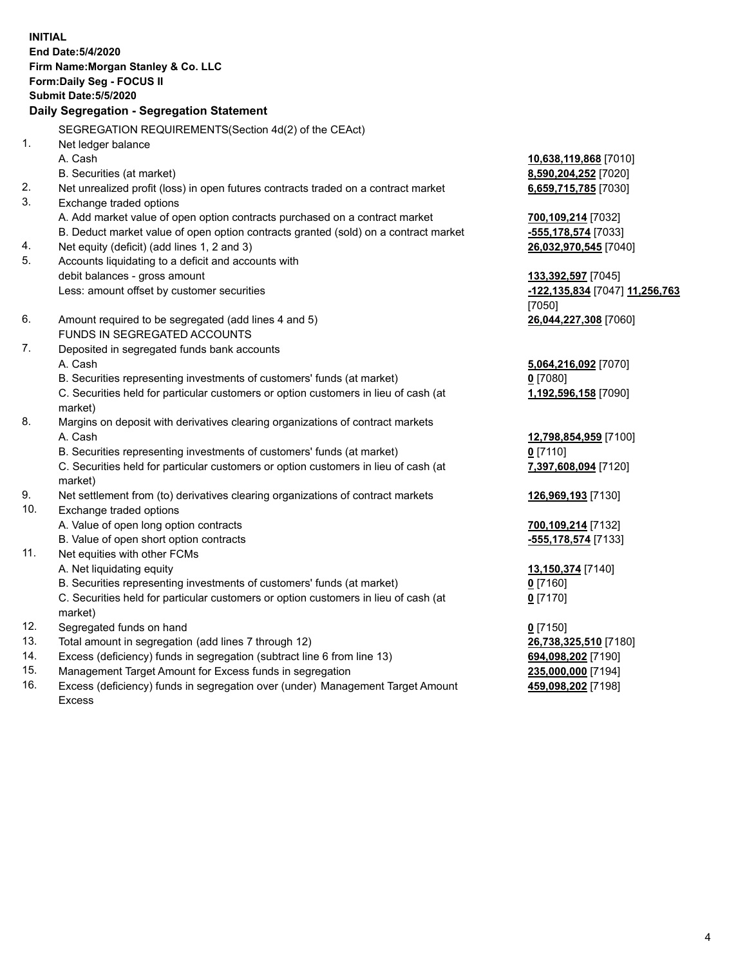|     | <b>INITIAL</b><br>End Date: 5/4/2020<br>Firm Name: Morgan Stanley & Co. LLC<br>Form: Daily Seg - FOCUS II<br><b>Submit Date: 5/5/2020</b><br>Daily Segregation - Segregation Statement |                                           |
|-----|----------------------------------------------------------------------------------------------------------------------------------------------------------------------------------------|-------------------------------------------|
|     |                                                                                                                                                                                        |                                           |
|     | SEGREGATION REQUIREMENTS(Section 4d(2) of the CEAct)                                                                                                                                   |                                           |
| 1.  | Net ledger balance                                                                                                                                                                     |                                           |
|     | A. Cash                                                                                                                                                                                | 10,638,119,868 [7010]                     |
| 2.  | B. Securities (at market)                                                                                                                                                              | 8,590,204,252 [7020]                      |
| 3.  | Net unrealized profit (loss) in open futures contracts traded on a contract market<br>Exchange traded options                                                                          | 6,659,715,785 [7030]                      |
|     | A. Add market value of open option contracts purchased on a contract market                                                                                                            |                                           |
|     | B. Deduct market value of open option contracts granted (sold) on a contract market                                                                                                    | 700,109,214 [7032]<br>-555,178,574 [7033] |
| 4.  | Net equity (deficit) (add lines 1, 2 and 3)                                                                                                                                            | 26,032,970,545 [7040]                     |
| 5.  | Accounts liquidating to a deficit and accounts with                                                                                                                                    |                                           |
|     | debit balances - gross amount                                                                                                                                                          | 133,392,597 [7045]                        |
|     | Less: amount offset by customer securities                                                                                                                                             | -122,135,834 [7047] 11,256,763            |
|     |                                                                                                                                                                                        | [7050]                                    |
| 6.  | Amount required to be segregated (add lines 4 and 5)                                                                                                                                   | 26,044,227,308 [7060]                     |
|     | FUNDS IN SEGREGATED ACCOUNTS                                                                                                                                                           |                                           |
| 7.  | Deposited in segregated funds bank accounts                                                                                                                                            |                                           |
|     | A. Cash                                                                                                                                                                                | 5,064,216,092 [7070]                      |
|     | B. Securities representing investments of customers' funds (at market)                                                                                                                 | $0$ [7080]                                |
|     | C. Securities held for particular customers or option customers in lieu of cash (at                                                                                                    | 1,192,596,158 [7090]                      |
|     | market)                                                                                                                                                                                |                                           |
| 8.  | Margins on deposit with derivatives clearing organizations of contract markets                                                                                                         |                                           |
|     | A. Cash                                                                                                                                                                                | 12,798,854,959 [7100]                     |
|     | B. Securities representing investments of customers' funds (at market)                                                                                                                 | $0$ [7110]                                |
|     | C. Securities held for particular customers or option customers in lieu of cash (at                                                                                                    | 7,397,608,094 [7120]                      |
|     | market)                                                                                                                                                                                |                                           |
| 9.  | Net settlement from (to) derivatives clearing organizations of contract markets                                                                                                        | 126,969,193 [7130]                        |
| 10. | Exchange traded options                                                                                                                                                                |                                           |
|     | A. Value of open long option contracts                                                                                                                                                 | 700,109,214 [7132]                        |
|     | B. Value of open short option contracts                                                                                                                                                | -555,178,574 [7133]                       |
| 11. | Net equities with other FCMs                                                                                                                                                           |                                           |
|     | A. Net liquidating equity                                                                                                                                                              | 13,150,374 [7140]                         |
|     | B. Securities representing investments of customers' funds (at market)<br>C. Securities held for particular customers or option customers in lieu of cash (at                          | $0$ [7160]<br>$0$ [7170]                  |
|     | market)                                                                                                                                                                                |                                           |
| 12. | Segregated funds on hand                                                                                                                                                               | $0$ [7150]                                |
| 13. | Total amount in segregation (add lines 7 through 12)                                                                                                                                   | 26,738,325,510 [7180]                     |
| 14. | Excess (deficiency) funds in segregation (subtract line 6 from line 13)                                                                                                                | 694,098,202 [7190]                        |
| 15  | Managament Target Amount for Excess fundo in ecorogicion                                                                                                                               | <b>225 000 000 171041</b>                 |

15. Management Target Amount for Excess funds in segregation<br>16. Excess (deficiency) funds in segregation over (under) Manag Excess (deficiency) funds in segregation over (under) Management Target Amount Excess

**459,098,202** [7198]